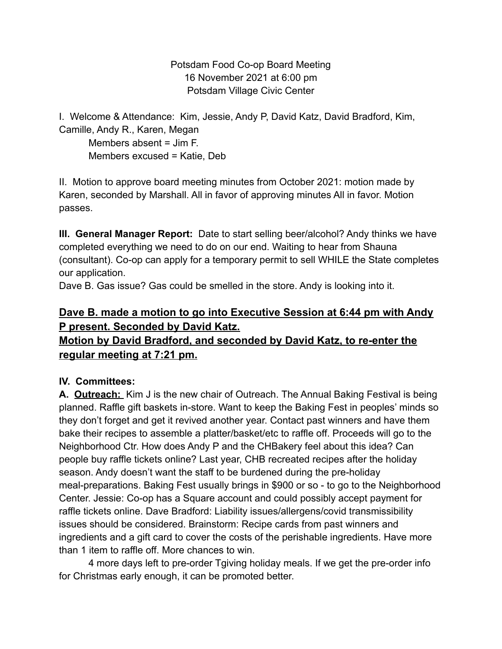Potsdam Food Co-op Board Meeting 16 November 2021 at 6:00 pm Potsdam Village Civic Center

I. Welcome & Attendance: Kim, Jessie, Andy P, David Katz, David Bradford, Kim, Camille, Andy R., Karen, Megan

Members absent = Jim F. Members excused = Katie, Deb

II. Motion to approve board meeting minutes from October 2021: motion made by Karen, seconded by Marshall. All in favor of approving minutes All in favor. Motion passes.

**III. General Manager Report:** Date to start selling beer/alcohol? Andy thinks we have completed everything we need to do on our end. Waiting to hear from Shauna (consultant). Co-op can apply for a temporary permit to sell WHILE the State completes our application.

Dave B. Gas issue? Gas could be smelled in the store. Andy is looking into it.

## **Dave B. made a motion to go into Executive Session at 6:44 pm with Andy P present. Seconded by David Katz.**

# **Motion by David Bradford, and seconded by David Katz, to re-enter the regular meeting at 7:21 pm.**

## **IV. Committees:**

**A. Outreach:** Kim J is the new chair of Outreach. The Annual Baking Festival is being planned. Raffle gift baskets in-store. Want to keep the Baking Fest in peoples' minds so they don't forget and get it revived another year. Contact past winners and have them bake their recipes to assemble a platter/basket/etc to raffle off. Proceeds will go to the Neighborhood Ctr. How does Andy P and the CHBakery feel about this idea? Can people buy raffle tickets online? Last year, CHB recreated recipes after the holiday season. Andy doesn't want the staff to be burdened during the pre-holiday meal-preparations. Baking Fest usually brings in \$900 or so - to go to the Neighborhood Center. Jessie: Co-op has a Square account and could possibly accept payment for raffle tickets online. Dave Bradford: Liability issues/allergens/covid transmissibility issues should be considered. Brainstorm: Recipe cards from past winners and ingredients and a gift card to cover the costs of the perishable ingredients. Have more than 1 item to raffle off. More chances to win.

4 more days left to pre-order Tgiving holiday meals. If we get the pre-order info for Christmas early enough, it can be promoted better.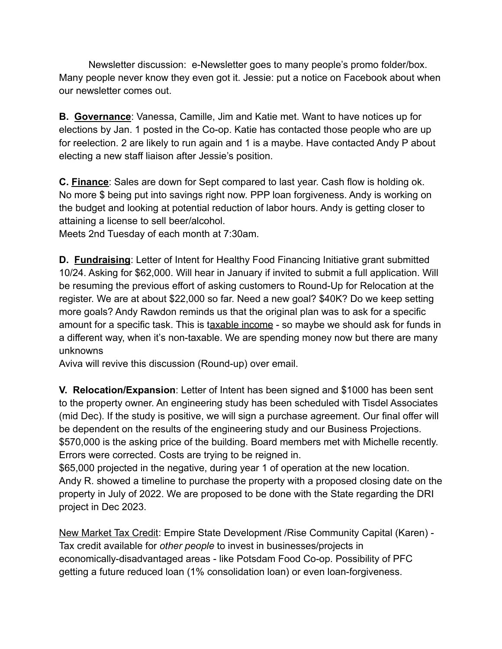Newsletter discussion: e-Newsletter goes to many people's promo folder/box. Many people never know they even got it. Jessie: put a notice on Facebook about when our newsletter comes out.

**B. Governance**: Vanessa, Camille, Jim and Katie met. Want to have notices up for elections by Jan. 1 posted in the Co-op. Katie has contacted those people who are up for reelection. 2 are likely to run again and 1 is a maybe. Have contacted Andy P about electing a new staff liaison after Jessie's position.

**C. Finance**: Sales are down for Sept compared to last year. Cash flow is holding ok. No more \$ being put into savings right now. PPP loan forgiveness. Andy is working on the budget and looking at potential reduction of labor hours. Andy is getting closer to attaining a license to sell beer/alcohol.

Meets 2nd Tuesday of each month at 7:30am.

**D. Fundraising**: Letter of Intent for Healthy Food Financing Initiative grant submitted 10/24. Asking for \$62,000. Will hear in January if invited to submit a full application. Will be resuming the previous effort of asking customers to Round-Up for Relocation at the register. We are at about \$22,000 so far. Need a new goal? \$40K? Do we keep setting more goals? Andy Rawdon reminds us that the original plan was to ask for a specific amount for a specific task. This is taxable income - so maybe we should ask for funds in a different way, when it's non-taxable. We are spending money now but there are many unknowns

Aviva will revive this discussion (Round-up) over email.

**V. Relocation/Expansion**: Letter of Intent has been signed and \$1000 has been sent to the property owner. An engineering study has been scheduled with Tisdel Associates (mid Dec). If the study is positive, we will sign a purchase agreement. Our final offer will be dependent on the results of the engineering study and our Business Projections. \$570,000 is the asking price of the building. Board members met with Michelle recently. Errors were corrected. Costs are trying to be reigned in.

\$65,000 projected in the negative, during year 1 of operation at the new location. Andy R. showed a timeline to purchase the property with a proposed closing date on the property in July of 2022. We are proposed to be done with the State regarding the DRI project in Dec 2023.

New Market Tax Credit: Empire State Development /Rise Community Capital (Karen) - Tax credit available for *other people* to invest in businesses/projects in economically-disadvantaged areas - like Potsdam Food Co-op. Possibility of PFC getting a future reduced loan (1% consolidation loan) or even loan-forgiveness.